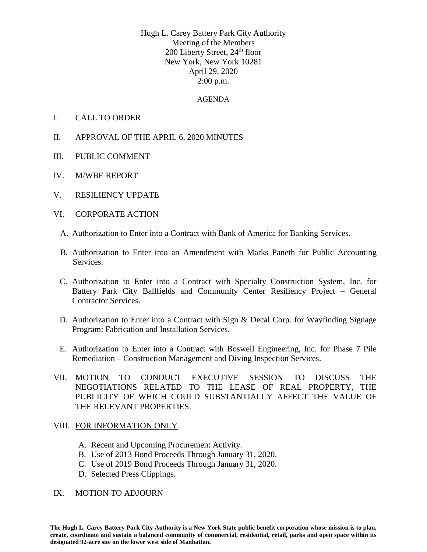Hugh L. Carey Battery Park City Authority Meeting of the Members 200 Liberty Street, 24<sup>th</sup> floor New York, New York 10281 April 29, 2020 2:00 p.m.

### AGENDA

- I. CALL TO ORDER
- II. APPROVAL OF THE APRIL 6, 2020 MINUTES
- III. PUBLIC COMMENT
- IV. M/WBE REPORT
- V. RESILIENCY UPDATE
- VI. CORPORATE ACTION
	- A. Authorization to Enter into a Contract with Bank of America for Banking Services.
	- B. Authorization to Enter into an Amendment with Marks Paneth for Public Accounting Services.
	- C. Authorization to Enter into a Contract with Specialty Construction System, Inc. for Battery Park City Ballfields and Community Center Resiliency Project – General Contractor Services.
	- D. Authorization to Enter into a Contract with Sign & Decal Corp. for Wayfinding Signage Program: Fabrication and Installation Services.
	- E. Authorization to Enter into a Contract with Boswell Engineering, Inc. for Phase 7 Pile Remediation – Construction Management and Diving Inspection Services.
- VII. MOTION TO CONDUCT EXECUTIVE SESSION TO DISCUSS THE NEGOTIATIONS RELATED TO THE LEASE OF REAL PROPERTY, THE PUBLICITY OF WHICH COULD SUBSTANTIALLY AFFECT THE VALUE OF THE RELEVANT PROPERTIES.

#### VIII. FOR INFORMATION ONLY

- A. Recent and Upcoming Procurement Activity.
- B. Use of 2013 Bond Proceeds Through January 31, 2020.
- C. Use of 2019 Bond Proceeds Through January 31, 2020.
- D. Selected Press Clippings.

#### IX. MOTION TO ADJOURN

**The Hugh L. Carey Battery Park City Authority is a New York State public benefit corporation whose mission is to plan, create, coordinate and sustain a balanced community of commercial, residential, retail, parks and open space within its designated 92-acre site on the lower west side of Manhattan.**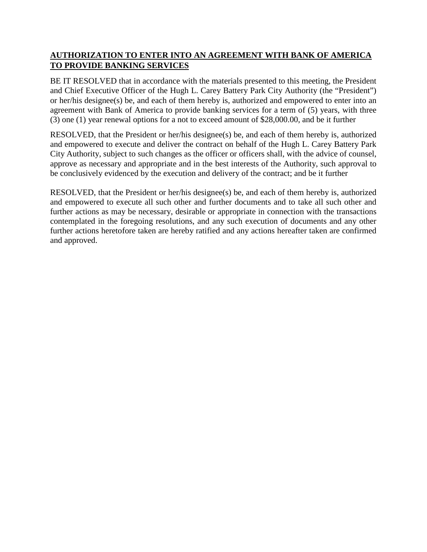# **AUTHORIZATION TO ENTER INTO AN AGREEMENT WITH BANK OF AMERICA TO PROVIDE BANKING SERVICES**

BE IT RESOLVED that in accordance with the materials presented to this meeting, the President and Chief Executive Officer of the Hugh L. Carey Battery Park City Authority (the "President") or her/his designee(s) be, and each of them hereby is, authorized and empowered to enter into an agreement with Bank of America to provide banking services for a term of (5) years, with three (3) one (1) year renewal options for a not to exceed amount of \$28,000.00, and be it further

RESOLVED, that the President or her/his designee(s) be, and each of them hereby is, authorized and empowered to execute and deliver the contract on behalf of the Hugh L. Carey Battery Park City Authority, subject to such changes as the officer or officers shall, with the advice of counsel, approve as necessary and appropriate and in the best interests of the Authority, such approval to be conclusively evidenced by the execution and delivery of the contract; and be it further

RESOLVED, that the President or her/his designee(s) be, and each of them hereby is, authorized and empowered to execute all such other and further documents and to take all such other and further actions as may be necessary, desirable or appropriate in connection with the transactions contemplated in the foregoing resolutions, and any such execution of documents and any other further actions heretofore taken are hereby ratified and any actions hereafter taken are confirmed and approved.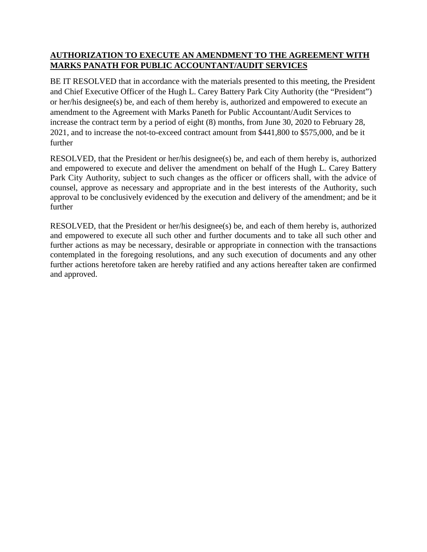# **AUTHORIZATION TO EXECUTE AN AMENDMENT TO THE AGREEMENT WITH MARKS PANATH FOR PUBLIC ACCOUNTANT/AUDIT SERVICES**

BE IT RESOLVED that in accordance with the materials presented to this meeting, the President and Chief Executive Officer of the Hugh L. Carey Battery Park City Authority (the "President") or her/his designee(s) be, and each of them hereby is, authorized and empowered to execute an amendment to the Agreement with Marks Paneth for Public Accountant/Audit Services to increase the contract term by a period of eight (8) months, from June 30, 2020 to February 28, 2021, and to increase the not-to-exceed contract amount from \$441,800 to \$575,000, and be it further

RESOLVED, that the President or her/his designee(s) be, and each of them hereby is, authorized and empowered to execute and deliver the amendment on behalf of the Hugh L. Carey Battery Park City Authority, subject to such changes as the officer or officers shall, with the advice of counsel, approve as necessary and appropriate and in the best interests of the Authority, such approval to be conclusively evidenced by the execution and delivery of the amendment; and be it further

RESOLVED, that the President or her/his designee(s) be, and each of them hereby is, authorized and empowered to execute all such other and further documents and to take all such other and further actions as may be necessary, desirable or appropriate in connection with the transactions contemplated in the foregoing resolutions, and any such execution of documents and any other further actions heretofore taken are hereby ratified and any actions hereafter taken are confirmed and approved.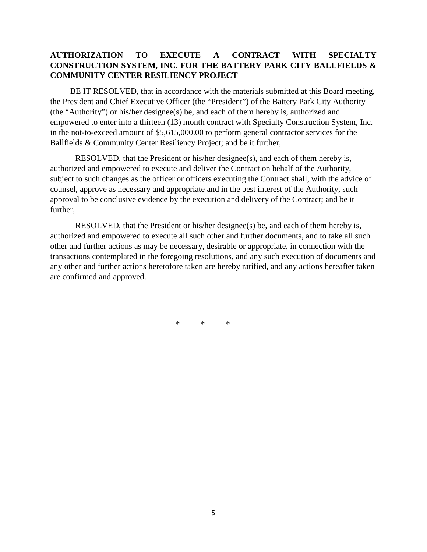## **AUTHORIZATION TO EXECUTE A CONTRACT WITH SPECIALTY CONSTRUCTION SYSTEM, INC. FOR THE BATTERY PARK CITY BALLFIELDS & COMMUNITY CENTER RESILIENCY PROJECT**

BE IT RESOLVED, that in accordance with the materials submitted at this Board meeting, the President and Chief Executive Officer (the "President") of the Battery Park City Authority (the "Authority") or his/her designee(s) be, and each of them hereby is, authorized and empowered to enter into a thirteen (13) month contract with Specialty Construction System, Inc. in the not-to-exceed amount of \$5,615,000.00 to perform general contractor services for the Ballfields & Community Center Resiliency Project; and be it further,

RESOLVED, that the President or his/her designee(s), and each of them hereby is, authorized and empowered to execute and deliver the Contract on behalf of the Authority, subject to such changes as the officer or officers executing the Contract shall, with the advice of counsel, approve as necessary and appropriate and in the best interest of the Authority, such approval to be conclusive evidence by the execution and delivery of the Contract; and be it further,

RESOLVED, that the President or his/her designee(s) be, and each of them hereby is, authorized and empowered to execute all such other and further documents, and to take all such other and further actions as may be necessary, desirable or appropriate, in connection with the transactions contemplated in the foregoing resolutions, and any such execution of documents and any other and further actions heretofore taken are hereby ratified, and any actions hereafter taken are confirmed and approved.

\* \* \*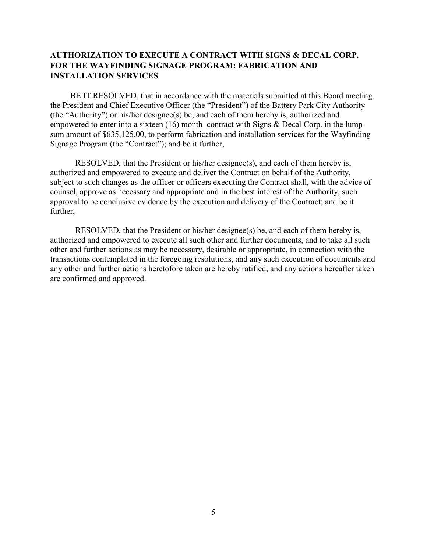## AUTHORIZATION TO EXECUTE A CONTRACT WITH SIGNS & DECAL CORP. FOR THE WAYFINDING SIGNAGE PROGRAM: FABRICATION AND INSTALLATION SERVICES

 BE IT RESOLVED, that in accordance with the materials submitted at this Board meeting, the President and Chief Executive Officer (the "President") of the Battery Park City Authority (the "Authority") or his/her designee(s) be, and each of them hereby is, authorized and empowered to enter into a sixteen (16) month contract with Signs & Decal Corp. in the lumpsum amount of \$635,125.00, to perform fabrication and installation services for the Wayfinding Signage Program (the "Contract"); and be it further,

RESOLVED, that the President or his/her designee(s), and each of them hereby is, authorized and empowered to execute and deliver the Contract on behalf of the Authority, subject to such changes as the officer or officers executing the Contract shall, with the advice of counsel, approve as necessary and appropriate and in the best interest of the Authority, such approval to be conclusive evidence by the execution and delivery of the Contract; and be it further,

 RESOLVED, that the President or his/her designee(s) be, and each of them hereby is, authorized and empowered to execute all such other and further documents, and to take all such other and further actions as may be necessary, desirable or appropriate, in connection with the transactions contemplated in the foregoing resolutions, and any such execution of documents and any other and further actions heretofore taken are hereby ratified, and any actions hereafter taken are confirmed and approved.